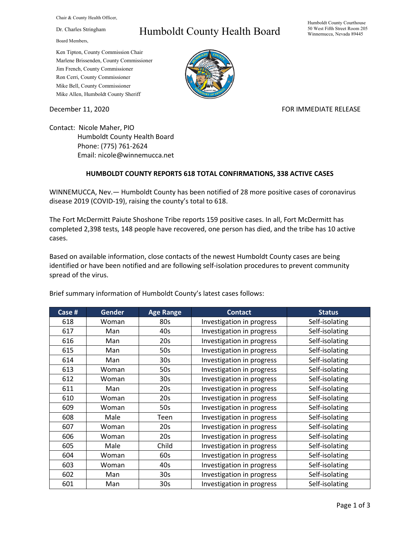Chair & County Health Officer,

Dr. Charles Stringham

Board Members,

## Humboldt County Health Board

Humboldt County Courthouse 50 West Fifth Street Room 205 Winnemucca, Nevada 89445

Ken Tipton, County Commission Chair Marlene Brissenden, County Commissioner Jim French, County Commissioner Ron Cerri, County Commissioner Mike Bell, County Commissioner Mike Allen, Humboldt County Sheriff

December 11, 2020 **FOR IMMEDIATE RELEASE** 

Contact: Nicole Maher, PIO Humboldt County Health Board Phone: (775) 761-2624 Email: nicole@winnemucca.net

## **HUMBOLDT COUNTY REPORTS 618 TOTAL CONFIRMATIONS, 338 ACTIVE CASES**

WINNEMUCCA, Nev.— Humboldt County has been notified of 28 more positive cases of coronavirus disease 2019 (COVID-19), raising the county's total to 618.

The Fort McDermitt Paiute Shoshone Tribe reports 159 positive cases. In all, Fort McDermitt has completed 2,398 tests, 148 people have recovered, one person has died, and the tribe has 10 active cases.

Based on available information, close contacts of the newest Humboldt County cases are being identified or have been notified and are following self-isolation procedures to prevent community spread of the virus.

| Case # | <b>Gender</b> | <b>Age Range</b> | <b>Contact</b>            | <b>Status</b>  |
|--------|---------------|------------------|---------------------------|----------------|
| 618    | Woman         | 80s              | Investigation in progress | Self-isolating |
| 617    | Man           | 40s              | Investigation in progress | Self-isolating |
| 616    | Man           | 20s              | Investigation in progress | Self-isolating |
| 615    | Man           | 50s              | Investigation in progress | Self-isolating |
| 614    | Man           | 30 <sub>s</sub>  | Investigation in progress | Self-isolating |
| 613    | Woman         | 50s              | Investigation in progress | Self-isolating |
| 612    | Woman         | 30s              | Investigation in progress | Self-isolating |
| 611    | Man           | 20s              | Investigation in progress | Self-isolating |
| 610    | Woman         | 20s              | Investigation in progress | Self-isolating |
| 609    | Woman         | 50s              | Investigation in progress | Self-isolating |
| 608    | Male          | Teen             | Investigation in progress | Self-isolating |
| 607    | Woman         | 20s              | Investigation in progress | Self-isolating |
| 606    | Woman         | 20s              | Investigation in progress | Self-isolating |
| 605    | Male          | Child            | Investigation in progress | Self-isolating |
| 604    | Woman         | 60s              | Investigation in progress | Self-isolating |
| 603    | Woman         | 40s              | Investigation in progress | Self-isolating |
| 602    | Man           | 30 <sub>s</sub>  | Investigation in progress | Self-isolating |
| 601    | Man           | 30s              | Investigation in progress | Self-isolating |

Brief summary information of Humboldt County's latest cases follows: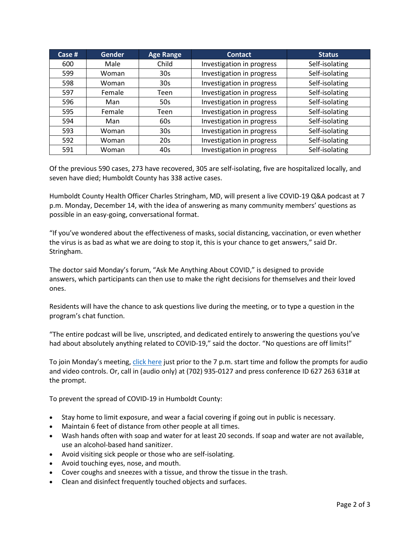| Case $#$ | <b>Gender</b> | <b>Age Range</b> | <b>Contact</b>            | <b>Status</b>  |
|----------|---------------|------------------|---------------------------|----------------|
| 600      | Male          | Child            | Investigation in progress | Self-isolating |
| 599      | Woman         | 30 <sub>s</sub>  | Investigation in progress | Self-isolating |
| 598      | Woman         | 30 <sub>s</sub>  | Investigation in progress | Self-isolating |
| 597      | Female        | Teen             | Investigation in progress | Self-isolating |
| 596      | Man           | 50s              | Investigation in progress | Self-isolating |
| 595      | Female        | Teen             | Investigation in progress | Self-isolating |
| 594      | Man           | 60s              | Investigation in progress | Self-isolating |
| 593      | Woman         | 30 <sub>s</sub>  | Investigation in progress | Self-isolating |
| 592      | Woman         | 20s              | Investigation in progress | Self-isolating |
| 591      | Woman         | 40s              | Investigation in progress | Self-isolating |

Of the previous 590 cases, 273 have recovered, 305 are self-isolating, five are hospitalized locally, and seven have died; Humboldt County has 338 active cases.

Humboldt County Health Officer Charles Stringham, MD, will present a live COVID-19 Q&A podcast at 7 p.m. Monday, December 14, with the idea of answering as many community members' questions as possible in an easy-going, conversational format.

"If you've wondered about the effectiveness of masks, social distancing, vaccination, or even whether the virus is as bad as what we are doing to stop it, this is your chance to get answers," said Dr. Stringham.

The doctor said Monday's forum, "Ask Me Anything About COVID," is designed to provide answers, which participants can then use to make the right decisions for themselves and their loved ones.

Residents will have the chance to ask questions live during the meeting, or to type a question in the program's chat function.

"The entire podcast will be live, unscripted, and dedicated entirely to answering the questions you've had about absolutely anything related to COVID-19," said the doctor. "No questions are off limits!"

To join Monday's meeting[, click here](https://teams.microsoft.com/l/meetup-join/19%3ameeting_N2NjZTk2NzYtNTM1Yy00NDBjLTgwMTItYTg0NDg2ZTlhODI0%40thread.v2/0?context=%7b%22Tid%22%3a%221f916fc9-42a5-4df4-aa73-a286ee089776%22%2c%22Oid%22%3a%221e10c4e8-675f-4494-97ed-4c4c4fd69453%22%7d) just prior to the 7 p.m. start time and follow the prompts for audio and video controls. Or, call in (audio only) at (702) 935-0127 and press conference ID 627 263 631# at the prompt.

To prevent the spread of COVID-19 in Humboldt County:

- Stay home to limit exposure, and wear a facial covering if going out in public is necessary.
- Maintain 6 feet of distance from other people at all times.
- Wash hands often with soap and water for at least 20 seconds. If soap and water are not available, use an alcohol-based hand sanitizer.
- Avoid visiting sick people or those who are self-isolating.
- Avoid touching eyes, nose, and mouth.
- Cover coughs and sneezes with a tissue, and throw the tissue in the trash.
- Clean and disinfect frequently touched objects and surfaces.